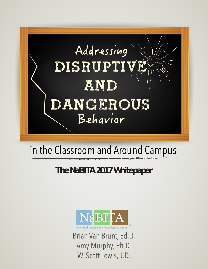

# in the Classroom and Around Campus

# **The NaBITA 2017 Whitepaper**



lational Behavioral Intervention Team Associatio

Brian Van Brunt, Ed.D. Amy Murphy, Ph.D. W. Scott Lewis, J.D.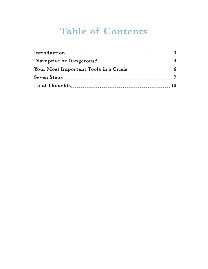# **Table of Contents**

| Introduction |                |
|--------------|----------------|
|              | 4              |
|              | $\overline{a}$ |
|              |                |
|              | 10             |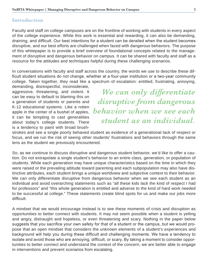#### **Introduction**

Faculty and staff on college campuses are on the frontline of working with students in every aspect of the college experience. While this work is essential and rewarding, it can also be demanding, draining, and difficult. Our best intentions for a student can be derailed when the student becomes disruptive, and our best efforts are challenged when faced with dangerous behaviors. The purpose of this whitepaper is to provide a brief overview of foundational concepts related to the management of disruptive and dangerous behavior on campus. It can be shared with faculty and staff as a resource for the attitudes and techniques helpful during these challenging scenarios.

In conversations with faculty and staff across the country, the words we use to describe these difficult student situations do not change, whether at a four-year institution or a two-year community college. Taken together, they read like a spectrum of escalation: entitled, frustrating, annoying,

demanding, disrespectful, inconsiderate, aggressive, threatening, and violent. It can be easy to default to blaming this on a generation of students or parents and K-12 educational systems. Like a rotten apple in the center of a bushel of apples, it can be tempting to cast generalities about today's college students. There is a tendency to paint with broad brush-

*We can only differentiate disruptive from dangerous behavior when we see each student as an individual.*

strokes and see a single poorly behaved student as evidence of a generational lack of respect or focus, and we run the risk of seeing other students' frustrations and behaviors through the same lens as the student we previously encountered.

So, as we continue to discuss disruptive and dangerous student behavior, we'd like to offer a caution. Do not extrapolate a single student's behavior to an entire class, generation, or population of students. While each generation may have unique characteristics based on the time in which they were raised or the prevailing attitude toward parenting and each subpopulation may also have distinctive attributes, each student brings a unique worldview and subjective context to their behavior. We can only differentiate disruptive from dangerous behavior when we see each student as an individual and avoid overarching statements such as "all these kids lack the kind of respect I had for professors" and "this whole generation is entitled and adverse to the kind of hard work needed to be successful at college." These statements create blind spots for us and make our jobs more difficult.

A mindset that we would encourage instead is to see these moments of crisis and disruption as opportunities to better connect with students. It may not seem possible when a student is yelling and angry, distraught and hopeless, or even threatening and scary. Nothing in the paper below suggests that you sacrifice your own safety for that of a student or the campus, but we would propose that an open mindset that considers the unknown elements of a student's experiences and background will help you during these difficult and challenging moments. We have a tendency to isolate and avoid those who are annoying, difficult, or scary. By taking a moment to consider opportunities to better connect and understand the context of the concern, we are better able to engage in interventions and prevent scenarios from escalating.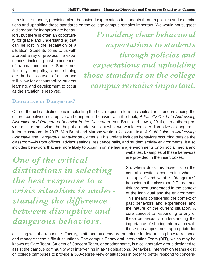In a similar manner, providing clear behavioral expectations to students through policies and expectations and upholding those standards on the college campus remains important. We would not suggest

a disregard for inappropriate behaviors, but there is often an opportunity for grace and understanding that can be lost in the escalation of a situation. Students come to us with a broad array of previous life experiences, including past experiences of trauma and abuse. Sometimes flexibility, empathy, and listening are the best courses of action and still allow for accountability, student learning, and development to occur as the situation is resolved.

*Providing clear behavioral expectations to students through policies and expectations and upholding those standards on the college campus remains important.*

### **Disruptive or Dangerous?**

One of the critical distinctions in selecting the best response to a crisis situation is understanding the difference between disruptive and dangerous behaviors. In the book, *A Faculty Guide to Addressing Disruptive and Dangerous Behavior in the Classroom* (Van Brunt and Lewis, 2014), the authors provide a list of behaviors that help the reader sort out what we would consider disruptive or dangerous in the classroom. In 2017, Van Brunt and Murphy wrote a follow-up text, *A Staff Guide to Addressing Disruptive and Dangerous Behavior on Campus*. This update includes behaviors occurring outside the classroom—in front offices, advisor settings, residence halls, and student activity environments. It also includes behaviors that are more likely to occur in online learning environments or on social media and

*One of the critical distinctions in selecting the best response to a crisis situation is understanding the difference between disruptive and dangerous behaviors.*

websites. Examples of these behaviors are provided in the insert boxes.

So, where does this leave us on the central questions concerning what is "disruptive" and what is "dangerous" behavior in the classroom? Threat and risk are best understood in the context of the individual and the environment. This means considering the context of past behaviors and experiences and the nature of the current situation. A core concept to responding to any of these behaviors is understanding the importance of sharing information with those on campus most appropriate for

assisting with the response. Faculty, staff, and students are not alone in determining how to respond and manage these difficult situations. The campus Behavioral Intervention Team (BIT), which may be known as Care Team, Student of Concern Team, or another name, is a collaborative group designed to assist the campus community with intervening in at-risk situations. Behavioral intervention teams exist on college campuses to provide a 360-degree view of situations in order to better respond to concern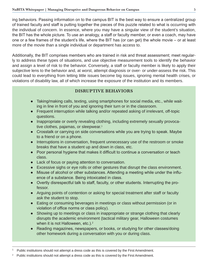ing behaviors. Passing information on to the campus BIT is the best way to ensure a centralized group of trained faculty and staff is putting together the pieces of this puzzle related to what is occurring with the individual of concern. In essence, where you may have a singular view of the student's situation, the BIT has the whole picture. To use an analogy, a staff or faculty member, or even a coach, may have one or a few frames of the student's life, where the BIT has (or can get) the whole movie – or at least more of the movie than a single individual or department has access to.

Additionally, the BIT comprises members who are trained in risk and threat assessment; meet regularly to address these types of situations, and use objective measurement tools to identify the behavior and assign a level of risk to the behavior. Conversely, a staff or faculty member is likely to apply their subjective lens to the behavior and, at worst, attempt diagnosis or over- or under-assess the risk. This could lead to everything from letting little issues become big issues, ignoring mental health crises, or violations of disability law, all of which increase the exposure of the institution and its members.

#### **DISRUPTIVE BEHAVIORS**

- Taking/making calls, texting, using smartphones for social media, etc., while waiting in line in front of you and ignoring their turn or in the classroom.
- Frequent interruption while talking and/or repeated asking of irrelevant, off-topic questions.
- Inappropriate or overly revealing clothing, including extremely sexually provocative clothes, pajamas, or sleepwear. 1
- Crosstalk or carrying on side conversations while you are trying to speak. Maybe to a friend or on a phone.
- Interruptions in conversation, frequent unnecessary use of the restroom or smoke breaks that have a student up and down in class, etc.
- Poor personal hygiene that makes it difficult to continue a conversation or teach class.
- Lack of focus or paying attention to conversation.
- Excessive sighs or eye rolls or other gestures that disrupt the class environment.
- Misuse of alcohol or other substances. Attending a meeting while under the influence of a substance. Being intoxicated in class.
- Overtly disrespectful talk to staff, faculty, or other students. Interrupting the professor.
- Arguing points of contention or asking for special treatment after staff or faculty ask the student to stop.
- Eating or consuming beverages in meetings or class without permission (or in violation of office norms or class policy).
- Showing up to meetings or class in inappropriate or strange clothing that clearly disrupts the academic environment (tactical military gear, Halloween costumes when it is not Halloween, etc.).<sup>2</sup>
- Reading magazines, newspapers, or books, or studying for other classes/doing other homework during a conversation with you or during class.

Public institutions should not attempt a dress code as this is covered by the First Amendment.

 $2^{\circ}$  Public institutions should not attempt a dress code as this is covered by the First Amendment.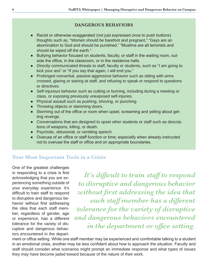#### **DANGEROUS BEHAVIORS**

- Racist or otherwise exaggerated (not just expressed once to push buttons) thoughts such as, "Women should be barefoot and pregnant," "Gays are an abomination to God and should be punished," "Muslims are all terrorists and should be wiped off the earth."
- Bullying behavior focused on students, faculty, or staff in the waiting room, outside the office, in the classroom, or in the residence halls.
- Directly communicated threats to staff, faculty or students, such as "I am going to kick your ass" or "If you say that again, I will end you."
- Prolonged nonverbal, passive-aggressive behavior such as sitting with arms crossed, glaring or staring at staff, and refusing to speak or respond to questions or directives.
- Self-injurious behavior such as cutting or burning, including during a meeting or class, or exposing previously unexposed self-injuries.
- Physical assault such as pushing, shoving, or punching.
- Throwing objects or slamming doors.
- Storming out of the office or room when upset, screaming and yelling about getting revenge.
- Conversations that are designed to upset other students or staff such as descriptions of weapons, killing, or death.
- Psychotic, delusional, or rambling speech.
- Overuse of an office or staff function or time; especially when already instructed not to overuse the staff or office and on appropriate boundaries.

# **Your Most Important Tools in a Crisis**

One of the greatest challenges in responding to a crisis is first acknowledging that you are experiencing something outside of your everyday experience. It's difficult to train staff to respond to disruptive and dangerous behavior without first addressing the idea that each staff member, regardless of gender, age or experience, has a different tolerance for the variety of disruptive and dangerous behaviors encountered in the depart-

*It's difficult to train staff to respond to disruptive and dangerous behavior without first addressing the idea that each staff member has a different tolerance for the variety of disruptive and dangerous behaviors encountered in the department or office setting.*

ment or office setting. While one staff member may be experienced and comfortable talking to a student in an emotional crisis, another may be less confident about how to approach the situation. Faculty and staff should consider what scenarios might prompt an immediate response and what types of issues they may have become jaded toward because of the nature of their work.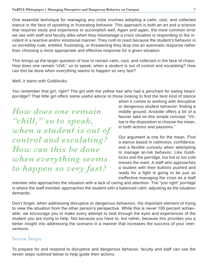One essential technique for managing any crisis involves adopting a calm, cool, and collected stance in the face of upsetting or frustrating behavior. This approach is both an art and a science that requires study and experience to accomplish well. Again and again, the most common error we see with staff and faculty alike when they mismanage a crisis situation is responding to the incident in a reactive and/or emotional manner. They rush to react because the student's behavior is so incredibly rude, entitled, frustrating, or threatening they drop into an automatic response rather than choosing a more appropriate and effective response for a given situation.

This brings up the larger question of how to remain calm, cool, and collected in the face of chaos. How does one remain "chill," so to speak, when a student is out of control and escalating? How can this be done when everything seems to happen so very fast?

Well, it starts with Goldilocks.

You remember that girl, right? The girl with the yellow hair who had a penchant for eating bears' porridge? That little girl offers some useful advice to those looking to find the best kind of stance

*How does one remain "chill," so to speak, when a student is out of control and escalating? How can this be done when everything seems to happen so very fast?*

when it comes to working with disruptive or dangerous student behavior: finding a middle ground. Aristotle offers a bit of a fancier take on this simple concept: "Virtue is the disposition to choose the mean, in both actions and passions."

Our argument is one for the mean. Find a stance based in calmness, confidence, and a flexible curiosity when attempting to manage at-risk behavior. Like Goldilocks and the porridge, too hot or too cold misses the mark. A staff who approaches a student with their buttons pushed and ready for a fight is going to be just as ineffective managing the crisis as a staff

member who approaches the situation with a lack of caring and attention. The "just right" porridge is where the staff member approaches the student with a balanced calm, adjusting as the situation demands.

Don't forget, when addressing disruptive or dangerous behaviors, the important element of trying to view the situation from the other person's perspective. While this is never 100 percent achievable, we encourage you to make every attempt to look through the eyes and experiences of the student you are trying to help. Not because you have to, but rather, because this provides you a better insight into addressing the scenario in a manner that increases the success of your interventions.

### **Seven Steps**

To prepare for and respond to disruptive and dangerous behavior, faculty and staff can use the seven steps outlined below to help guide their actions.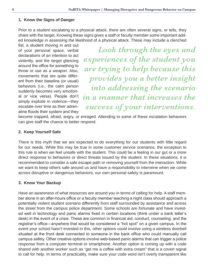#### **1. Know the Signs of Danger**

Prior to a student escalating to a physical attack, there are often several signs, or tells, they share with the target. Knowing these signs gives a staff or faculty member some important added knowledge in assessing the likelihood of a physical attack. These may include a clenched

fist, a student moving in and out of your personal space, verbal declarations of an intention to act violently, and the target glancing around the office for something to throw or use as a weapon. Also, movements that are quite different from their baseline (or usual) behaviors (i.e., the calm person suddenly becomes very emotional or vice versa). People don't simply explode in violence—they escalate over time as their adrenaline floods their system and they

*Look through the eyes and experiences of the student you are trying to help because this provides you a better insight into addressing the scenario in a manner that increases the success of your interventions.*

become trapped, afraid, angry, or enraged. Attending to some of these escalation behaviors can give staff the chance to better respond.

#### **2. Keep Yourself Safe**

There is this myth that we are expected to do everything for our students with little regard for our needs. While this may be true in some customer service scenarios, the exception to this rule is when we feel unsafe with the student. This could be a feeling in our gut or a more direct response to behaviors or direct threats issued by the student. In these situations, it is recommended to consider a safe escape path or removing yourself from the interaction. While we want to keep others safe around us and have a responsibility to intervene when we come across disruptive or dangerous behaviors, our own personal safety is paramount.

#### **3. Know Your Backup**

Have an awareness of what resources are around you in terms of calling for help. A staff member alone in an after-hours office or a faculty member teaching a night class should approach a potentially violent student scenario differently from staff surrounded by assistance and across the street from the campus police department. Some schools are fortunate and have invested well in technology and panic alarms fixed in certain locations (think under a bank teller's desk) in the event of a crisis. These are common in financial aid, conduct, counseling, and the registrar's office—anywhere that would be considered a "hot spot" on a given campus. In the event your school hasn't invested in this, other options could involve using a wireless doorbell situated at the front desk connected to someone in the back office who could manually call campus safety. Other creative options involve web-based panic alarms that can trigger a police response from a computer terminal or smartphone. Another option is coming up with a code shared with another worker such as "get me a coffee with extra cream" that is a covert signal to call for help. In terms of practicality, make sure your code word isn't overly transparent like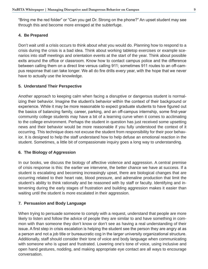"Bring me the red folder" or "Can you get Dr. Strong on the phone?" An upset student may see through this and become more enraged at the subterfuge.

#### **4. Be Prepared**

Don't wait until a crisis occurs to think about what you would do. Planning how to respond to a crisis during the crisis is a bad idea. Think about working tabletop exercises or example scenarios into staff meetings and orientation events at the start of the year. Think about possible exits around the office or classroom. Know how to contact campus police and the difference between calling them on a direct line versus calling 911; sometimes 911 routes to an off-campus response that can take longer. We all do fire drills every year, with the hope that we never have to actually use the knowledge.

#### **5. Understand Their Perspective**

Another approach to keeping calm when facing a disruptive or dangerous student is normalizing their behavior. Imagine the student's behavior within the context of their background or experience. While it may be more reasonable to expect graduate students to have figured out the basics of balancing family, career, parking, and an off-campus internship, some first-year community college students may have a bit of a learning curve when it comes to acclimating to the college environment. Perhaps the student in question has just received some upsetting news and their behavior would be more reasonable if you fully understood the context of it occurring. This technique does not excuse the student from responsibility for their poor behavior. It is designed to help the staff understand how to help defuse an emotional reaction in the student. Sometimes, a little bit of compassionate inquiry goes a long way to understanding.

#### **6. The Biology of Aggression**

In our books, we discuss the biology of affective violence and aggression. A central premise of crisis response is this: the earlier we intervene, the better chance we have at success. If a student is escalating and becoming increasingly upset, there are biological changes that are occurring related to their heart rate, blood pressure, and adrenaline production that limit the student's ability to think rationally and be reasoned with by staff or faculty. Identifying and intervening during the early stages of frustration and building aggression makes it easier than waiting until the student is more escalated in their aggression.

#### **7. Persuasion and Body Language**

When trying to persuade someone to comply with a request, understand that people are more likely to listen and follow the advice of people they are similar to and have something in common with than someone they don't know or don't see as having a real understanding of their issue. A first step in crisis escalation is helping the student see the person they are angry at as a person and not a job title or bureaucratic cog in the larger university organizational structure. Additionally, staff should consider their tone of voice and body language when communicating with someone who is upset and frustrated. Lowering one's tone of voice, using inclusive and open hand gestures, nodding, and making appropriate eye contact are all ways to encourage conversation.